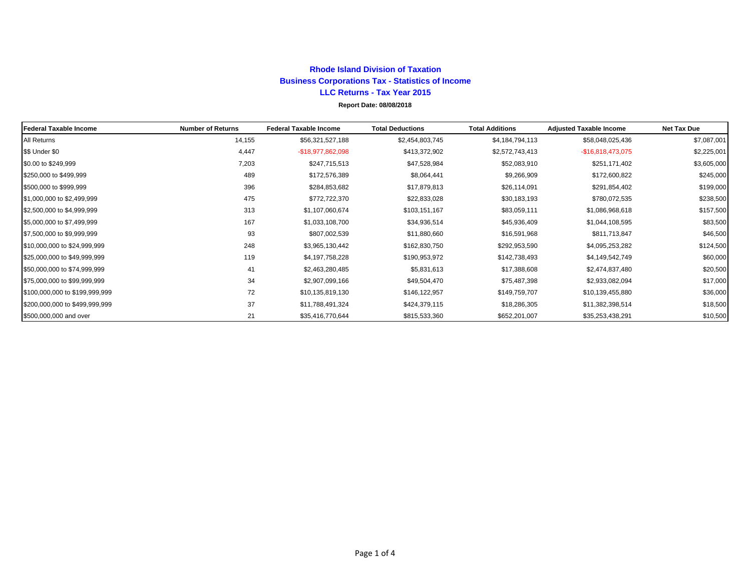#### **Rhode Island Division of TaxationBusiness Corporations Tax - Statistics of Income LLC Returns - Tax Year 2015Report Date: 08/08/2018**

#### **Federal Taxable Income Number of Returns Federal Taxable Income Total Deductions Total Additions Adjusted Taxable Income Net Tax Due** All Returns \$56,321,527,188 \$2,454,803,745 \$7,044,794,113 \$58,048,025,436 \$7,087,001 \$\$ Under \$0 4,447 -\$18,977,862,098 \$413,372,902 \$2,572,743,413 -\$16,818,473,075 \$2,225,001 \$0.00 to \$249,999 7,203 \$247,715,513 \$47,528,984 \$52,083,910 \$251,171,402 \$3,605,000  $\$250,000$  to  $\$499,999$   $\$245,000$   $\$245,000$ \$500,000 to \$999,999 396 \$284,853,682 \$17,879,813 \$26,114,091 \$291,854,402 \$199,000  $$1,000,000$  to  $$2,499,999$   $$375$   $$475$   $$572,722,370$   $$22,833,028$   $$30,183,193$   $$780,072,535$   $$238,500$  $$2,500,000$  to  $$4,999,999$   $$1107,060,674$   $$103,151,167$   $$83,059,111$   $$1,086,968,618$   $$1,7,500$  $\$5,000,000$  to  $\$7,499,999$   $\$1,033,108,700$   $\$1,033,108,700$   $\$34,936,514$   $\$45,936,409$   $\$1,044,108,595$   $\$1,044,108,595$   $\$35,000$  $\$7,500,000$  to  $\$9,999,999$  ,  $93$   $\$46,500$   $\$11,880,660$   $\$16,591,968$   $\$811,713,847$   $\$16,500$  $$10,000,000$  to  $$24,999,999$   $$324,500$   $$124,500$   $$248$   $$3,965,130,442$   $$162,830,750$   $$292,953,590$   $$4,095,253,282$   $$124,500$  $$325,000,000$  to  $$49,999,999$   $$4.19$   $$4,197,758,228$   $$190,953,972$   $$142,738,493$   $$4,149,542,749$   $$60,000$  $$50,000,000$  to  $$74,999,999$   $$20,500$  $$75,000,000$  to  $$99,999,999$   $$17,000$  $$100,000,000$  to  $$199,999,999$   $$10,135,819,130$   $$146,122,957$   $$149,759,707$   $$10,139,455,880$   $$36,000$  $$200,000,000$  to \$499,999,999  $$37$   $$11,788,491,324$   $$424,379,115$   $$18,286,305$   $$11,382,398,514$   $$18,500$  $$500,000,000$  and over  $$10,500$   $$21$   $$35,416,770,644$   $$815,533,360$   $$652,201,007$   $$35,253,438,291$   $$10,500$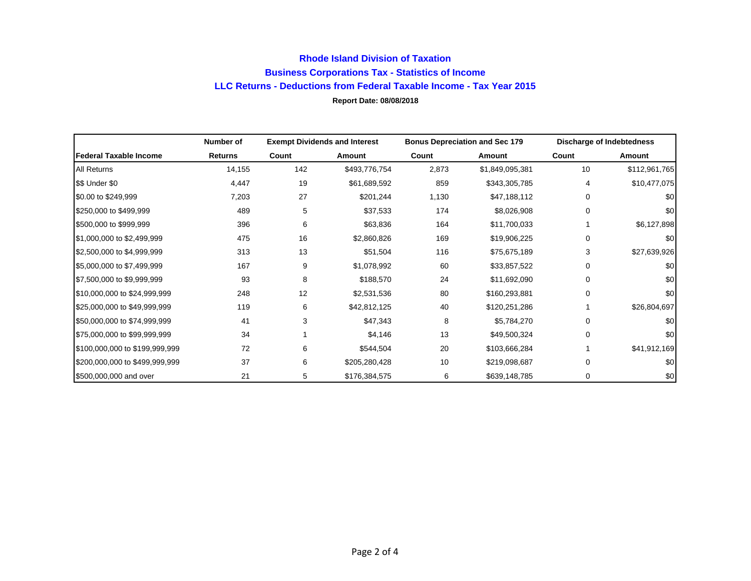### **Rhode Island Division of Taxation Business Corporations Tax - Statistics of Income LLC Returns - Deductions from Federal Taxable Income - Tax Year 2015 Report Date: 08/08/2018**

|                                | Number of | <b>Exempt Dividends and Interest</b> |               | <b>Bonus Depreciation and Sec 179</b> |                 | <b>Discharge of Indebtedness</b> |               |
|--------------------------------|-----------|--------------------------------------|---------------|---------------------------------------|-----------------|----------------------------------|---------------|
| Federal Taxable Income         | Returns   | Count                                | Amount        | Count                                 | Amount          | Count                            | Amount        |
| <b>All Returns</b>             | 14,155    | 142                                  | \$493,776,754 | 2,873                                 | \$1,849,095,381 | 10                               | \$112,961,765 |
| \$\$ Under \$0                 | 4,447     | 19                                   | \$61,689,592  | 859                                   | \$343,305,785   | 4                                | \$10,477,075  |
| \$0.00 to \$249,999            | 7,203     | 27                                   | \$201,244     | 1,130                                 | \$47,188,112    | 0                                | \$0           |
| \$250,000 to \$499,999         | 489       | 5                                    | \$37,533      | 174                                   | \$8,026,908     | 0                                | \$0           |
| \$500,000 to \$999,999         | 396       | 6                                    | \$63,836      | 164                                   | \$11,700,033    |                                  | \$6,127,898   |
| \$1,000,000 to \$2,499,999     | 475       | 16                                   | \$2,860,826   | 169                                   | \$19,906,225    | 0                                | \$0           |
| \$2,500,000 to \$4,999,999     | 313       | 13                                   | \$51,504      | 116                                   | \$75,675,189    | 3                                | \$27,639,926  |
| \$5,000,000 to \$7,499,999     | 167       | 9                                    | \$1,078,992   | 60                                    | \$33,857,522    | $\Omega$                         | \$0           |
| \$7,500,000 to \$9,999,999     | 93        | 8                                    | \$188,570     | 24                                    | \$11,692,090    | 0                                | \$0           |
| \$10,000,000 to \$24,999,999   | 248       | 12                                   | \$2,531,536   | 80                                    | \$160,293,881   | $\Omega$                         | \$0           |
| \$25,000,000 to \$49,999,999   | 119       | 6                                    | \$42,812,125  | 40                                    | \$120,251,286   |                                  | \$26,804,697  |
| \$50,000,000 to \$74,999,999   | 41        | 3                                    | \$47,343      | 8                                     | \$5,784,270     | 0                                | \$0           |
| \$75,000,000 to \$99,999,999   | 34        |                                      | \$4,146       | 13                                    | \$49,500,324    | $\Omega$                         | \$0           |
| \$100,000,000 to \$199,999,999 | 72        | 6                                    | \$544,504     | 20                                    | \$103,666,284   |                                  | \$41,912,169  |
| \$200,000,000 to \$499,999,999 | 37        | 6                                    | \$205,280,428 | 10                                    | \$219,098,687   | $\Omega$                         | \$0           |
| \$500,000,000 and over         | 21        | 5                                    | \$176,384,575 | 6                                     | \$639,148,785   | 0                                | \$0           |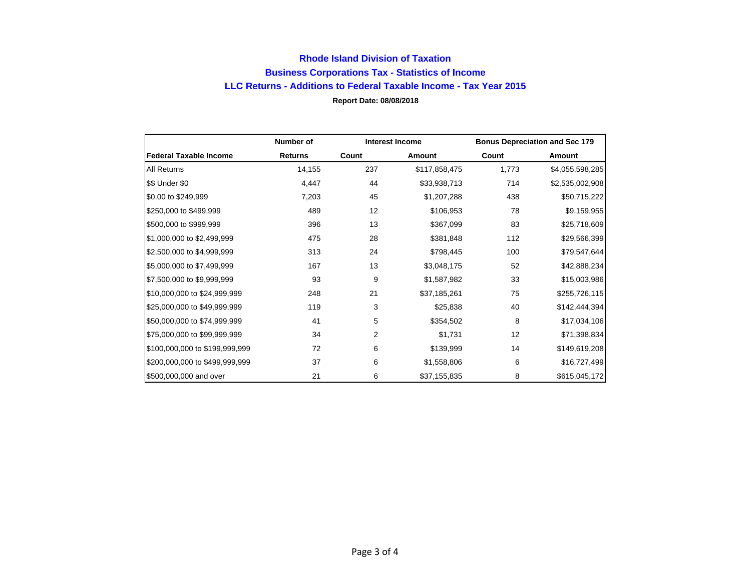## **Rhode Island Division of Taxation Business Corporations Tax - Statistics of Income LLC Returns - Additions to Federal Taxable Income - Tax Year 2015 Report Date: 08/08/2018**

|                                | Number of      | <b>Interest Income</b> |               | <b>Bonus Depreciation and Sec 179</b> |                 |
|--------------------------------|----------------|------------------------|---------------|---------------------------------------|-----------------|
| <b>Federal Taxable Income</b>  | <b>Returns</b> | Count                  | Amount        | Count                                 | Amount          |
| <b>All Returns</b>             | 14,155         | 237                    | \$117,858,475 | 1,773                                 | \$4,055,598,285 |
| \$\$ Under \$0                 | 4,447          | 44                     | \$33,938,713  | 714                                   | \$2,535,002,908 |
| \$0.00 to \$249,999            | 7,203          | 45                     | \$1,207,288   | 438                                   | \$50,715,222    |
| \$250,000 to \$499,999         | 489            | 12                     | \$106,953     | 78                                    | \$9,159,955     |
| \$500,000 to \$999,999         | 396            | 13                     | \$367,099     | 83                                    | \$25,718,609    |
| \$1,000,000 to \$2,499,999     | 475            | 28                     | \$381,848     | 112                                   | \$29,566,399    |
| \$2,500,000 to \$4,999,999     | 313            | 24                     | \$798,445     | 100                                   | \$79,547,644    |
| \$5,000,000 to \$7,499,999     | 167            | 13                     | \$3,048,175   | 52                                    | \$42,888,234    |
| \$7,500,000 to \$9,999,999     | 93             | 9                      | \$1,587,982   | 33                                    | \$15,003,986    |
| \$10,000,000 to \$24,999,999   | 248            | 21                     | \$37,185,261  | 75                                    | \$255,726,115   |
| \$25,000,000 to \$49,999,999   | 119            | 3                      | \$25,838      | 40                                    | \$142,444,394   |
| \$50,000,000 to \$74,999,999   | 41             | 5                      | \$354,502     | 8                                     | \$17,034,106    |
| \$75,000,000 to \$99,999,999   | 34             | $\overline{2}$         | \$1,731       | 12                                    | \$71,398,834    |
| \$100,000,000 to \$199,999,999 | 72             | 6                      | \$139,999     | 14                                    | \$149,619,208   |
| \$200,000,000 to \$499,999,999 | 37             | 6                      | \$1,558,806   | 6                                     | \$16,727,499    |
| \$500,000,000 and over         | 21             | 6                      | \$37,155,835  | 8                                     | \$615,045,172   |